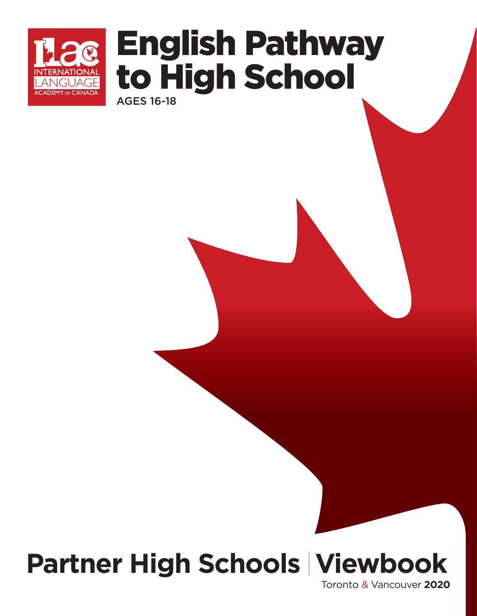

# AGES 16-18 English Pathway to High School

**Partner High Schools Viewbook** 

Toronto & Vancouver **2020**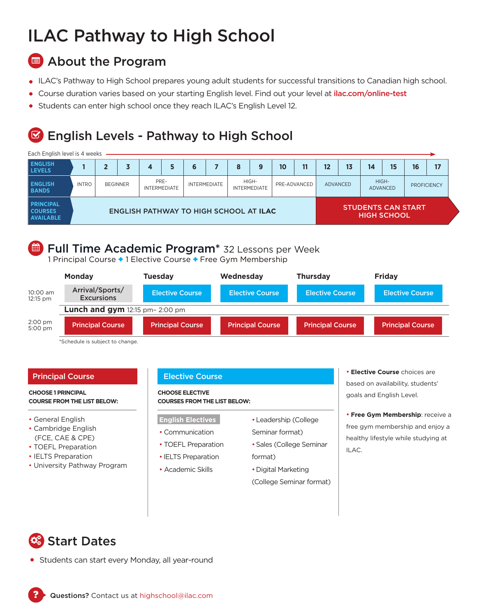## ILAC Pathway to High School

## **B** About the Program

- ILAC's Pathway to High School prepares young adult students for successful transitions to Canadian high school.
- Course duration varies based on your starting English level. Find out your level at ilac.com/online-test
- Students can enter high school once they reach ILAC's English Level 12.

## English Levels - Pathway to High School  $\overline{\mathbf{S}}$

## Each English level is 4 weeks

| <b>ENGLISH</b><br><b>LEVELS</b>                        |                                               |  |                 |      |                     |  |                     | 8 | 9                            | 10                 | 11           | 12                        | 13 | 14 | 15                       | 16 | 17                 |
|--------------------------------------------------------|-----------------------------------------------|--|-----------------|------|---------------------|--|---------------------|---|------------------------------|--------------------|--------------|---------------------------|----|----|--------------------------|----|--------------------|
| <b>ENGLISH</b><br><b>BANDS</b>                         | <b>INTRO</b>                                  |  | <b>BEGINNER</b> | PRE- | <b>INTERMEDIATE</b> |  | <b>INTERMEDIATE</b> |   | HIGH-<br><b>INTERMEDIATE</b> |                    | PRE-ADVANCED | <b>ADVANCED</b>           |    |    | HIGH-<br><b>ADVANCED</b> |    | <b>PROFICIENCY</b> |
| <b>PRINCIPAL</b><br><b>COURSES</b><br><b>AVAILABLE</b> | <b>ENGLISH PATHWAY TO HIGH SCHOOL AT ILAC</b> |  |                 |      |                     |  |                     |   |                              | <b>HIGH SCHOOL</b> |              | <b>STUDENTS CAN START</b> |    |    |                          |    |                    |

### Full Time Academic Program\* 32 Lessons per Week ∰

1 Principal Course + 1 Elective Course + Free Gym Membership

|                                        | <b>Monday</b>                            | <b>Tuesday</b>          | Wednesday               | <b>Thursday</b>         | <b>Fridav</b>           |  |  |  |  |  |
|----------------------------------------|------------------------------------------|-------------------------|-------------------------|-------------------------|-------------------------|--|--|--|--|--|
| 10:00 am<br>12:15 pm                   | Arrival/Sports/<br><b>Excursions</b>     | <b>Elective Course</b>  | <b>Elective Course</b>  | <b>Elective Course</b>  | <b>Elective Course</b>  |  |  |  |  |  |
|                                        | <b>Lunch and gym</b> 12:15 pm- $2:00$ pm |                         |                         |                         |                         |  |  |  |  |  |
| $2:00 \text{ pm}$<br>$5:00 \text{ pm}$ | <b>Principal Course</b>                  | <b>Principal Course</b> | <b>Principal Course</b> | <b>Principal Course</b> | <b>Principal Course</b> |  |  |  |  |  |

\*Schedule is subject to change.

## Principal Course **Elective Course**

### **CHOOSE 1 PRINCIPAL COURSE FROM THE LIST BELOW:**

- General English
- Cambridge English (FCE, CAE & CPE)
- TOEFL Preparation
- IELTS Preparation
- University Pathway Program

### **CHOOSE ELECTIVE COURSES FROM THE LIST BELOW:**

- **English Electives**
- Communication
- TOEFL Preparation
- IELTS Preparation
- Academic Skills
- •Leadership (College Seminar format)
- •Sales (College Seminar format)
- •Digital Marketing (College Seminar format)

• **Elective Course** choices are based on availability, students' goals and English Level.

• **Free Gym Membership**: receive a free gym membership and enjoy a healthy lifestyle while studying at ILAC.

## Start Dates  $\mathbf{Q}_3^3$

?

Students can start every Monday, all year-round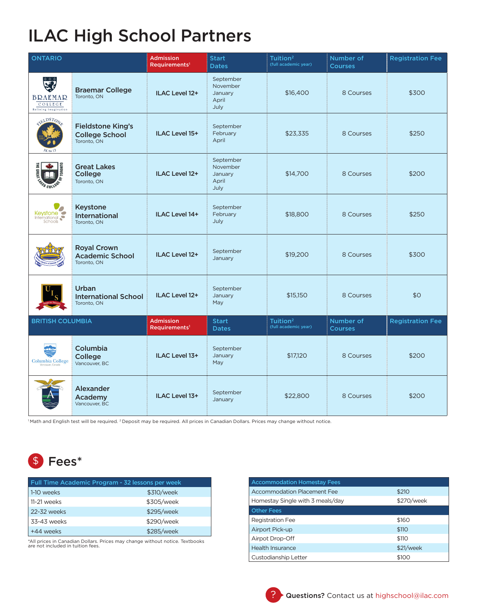## ILAC High School Partners

| <b>ONTARIO</b>                                                      |                                                                  | <b>Admission</b><br>Requirements <sup>1</sup> | <b>Start</b><br><b>Dates</b>                      | Tuition <sup>2</sup><br>(full academic year) | Number of<br><b>Courses</b> | <b>Registration Fee</b> |
|---------------------------------------------------------------------|------------------------------------------------------------------|-----------------------------------------------|---------------------------------------------------|----------------------------------------------|-----------------------------|-------------------------|
| È,<br><b>BRAEMAR</b><br>$C$ O I I $E$ G $E$<br>Refining Imagination | <b>Braemar College</b><br>Toronto, ON                            | ILAC Level 12+                                | September<br>November<br>January<br>April<br>July | \$16,400                                     | 8 Courses                   | \$300                   |
| eiELDSTON<br>$JK$ to $12$                                           | <b>Fieldstone King's</b><br><b>College School</b><br>Toronto, ON | <b>ILAC Level 15+</b>                         | September<br>February<br>April                    | \$23,335                                     | 8 Courses                   | \$250                   |
| THE GREI<br>cov.                                                    | <b>Great Lakes</b><br>College<br>Toronto, ON                     | ILAC Level 12+                                | September<br>November<br>January<br>April<br>July | \$14,700                                     | 8 Courses                   | \$200                   |
| Keystone                                                            | <b>Keystone</b><br><b>International</b><br>Toronto, ON           | <b>ILAC Level 14+</b>                         | September<br>February<br>July                     | \$18,800                                     | 8 Courses                   | \$250                   |
|                                                                     | <b>Royal Crown</b><br><b>Academic School</b><br>Toronto, ON      | ILAC Level 12+                                | September<br>January                              | \$19,200                                     | 8 Courses                   | \$300                   |
|                                                                     | <b>Urban</b><br><b>International School</b><br>Toronto, ON       | ILAC Level 12+                                | September<br>January<br>May                       | \$15,150                                     | 8 Courses                   | \$0                     |
| <b>BRITISH COLUMBIA</b>                                             |                                                                  | <b>Admission</b><br>Requirements <sup>1</sup> | <b>Start</b><br><b>Dates</b>                      | Tuition <sup>2</sup><br>(full academic year) | Number of<br><b>Courses</b> | <b>Registration Fee</b> |
| <b>Columbia College</b>                                             | Columbia<br>College<br>Vancouver, BC                             | ILAC Level 13+                                | September<br>January<br>May                       | \$17,120                                     | 8 Courses                   | \$200                   |
|                                                                     | <b>Alexander</b><br>Academv<br>Vancouver, BC                     | ILAC Level 13+                                | September<br>January                              | \$22,800                                     | 8 Courses                   | \$200                   |

<sup>1</sup> Math and English test will be required. <sup>2</sup> Deposit may be required. All prices in Canadian Dollars. Prices may change without notice.

## Fees\* \$

| Full Time Academic Program - 32 lessons per week |            |  |  |  |  |  |
|--------------------------------------------------|------------|--|--|--|--|--|
| 1-10 weeks                                       | \$310/week |  |  |  |  |  |
| 11-21 weeks                                      | \$305/week |  |  |  |  |  |
| 22-32 weeks                                      | \$295/week |  |  |  |  |  |
| 33-43 weeks                                      | \$290/week |  |  |  |  |  |
| +44 weeks                                        | \$285/week |  |  |  |  |  |

\*All prices in Canadian Dollars. Prices may change without notice. Textbooks are not included in tuition fees.

| <b>Accommodation Homestay Fees</b> |            |  |  |  |  |  |  |
|------------------------------------|------------|--|--|--|--|--|--|
| Accommodation Placement Fee        | \$210      |  |  |  |  |  |  |
| Homestay Single with 3 meals/day   | \$270/week |  |  |  |  |  |  |
| <b>Other Fees</b>                  |            |  |  |  |  |  |  |
| <b>Registration Fee</b>            | \$160      |  |  |  |  |  |  |
| Airport Pick-up                    | \$110      |  |  |  |  |  |  |
| Airpot Drop-Off                    | \$110      |  |  |  |  |  |  |
| <b>Health Insurance</b>            | \$21/week  |  |  |  |  |  |  |
| Custodianship Letter               | \$100      |  |  |  |  |  |  |